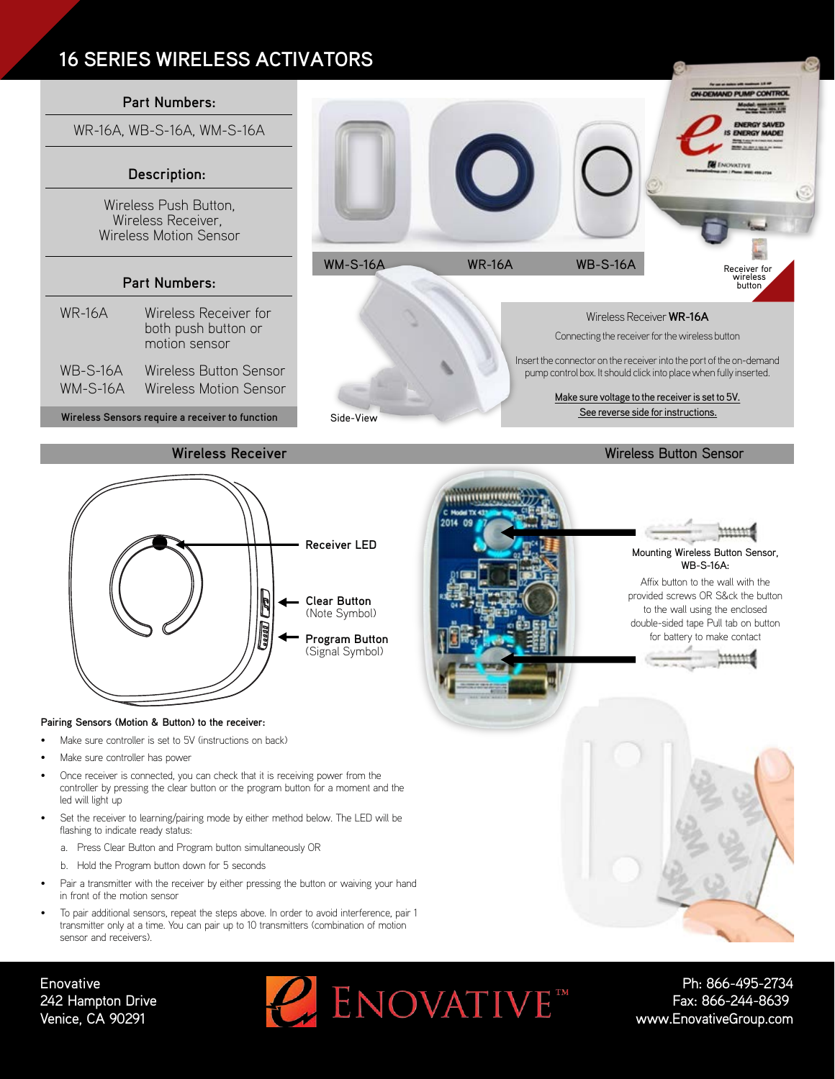# **16 SERIES WIRELESS ACTIVATORS**





### **Pairing Sensors (Motion & Button) to the receiver:**

- Make sure controller is set to 5V (instructions on back)
- Make sure controller has power
- Once receiver is connected, you can check that it is receiving power from the controller by pressing the clear button or the program button for a moment and the led will light up
- Set the receiver to learning/pairing mode by either method below. The LED will be flashing to indicate ready status:
	- a. Press Clear Button and Program button simultaneously OR
	- b. Hold the Program button down for 5 seconds
- Pair a transmitter with the receiver by either pressing the button or waiving your hand in front of the motion sensor
- To pair additional sensors, repeat the steps above. In order to avoid interference, pair 1 transmitter only at a time. You can pair up to 10 transmitters (combination of motion sensor and receivers).



Mounting Wireless Button Sensor, WB-S-16A:

**ON-DEMAND PUMP CONTROL** 

odel assistant

Affix button to the wall with the provided screws OR S&ck the button to the wall using the enclosed double-sided tape Pull tab on button for battery to make contact



## **Enovative** 242 Hampton Drive Venice, CA 90291



Ph: 866-495-2734 Fax: 866-244-8639 www.EnovativeGroup.com